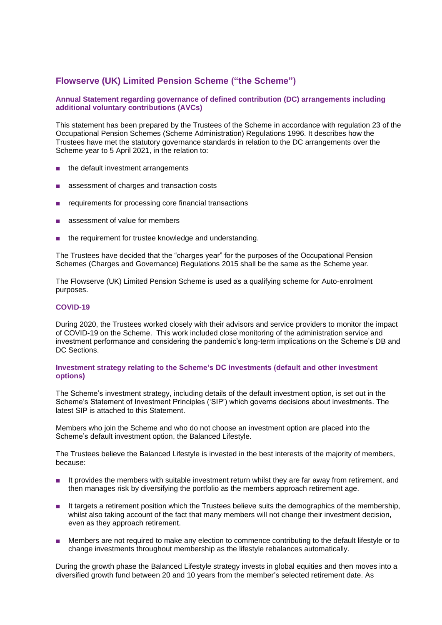# **Flowserve (UK) Limited Pension Scheme ("the Scheme")**

## **Annual Statement regarding governance of defined contribution (DC) arrangements including additional voluntary contributions (AVCs)**

This statement has been prepared by the Trustees of the Scheme in accordance with regulation 23 of the Occupational Pension Schemes (Scheme Administration) Regulations 1996. It describes how the Trustees have met the statutory governance standards in relation to the DC arrangements over the Scheme year to 5 April 2021, in the relation to:

- the default investment arrangements
- assessment of charges and transaction costs
- requirements for processing core financial transactions
- assessment of value for members
- the requirement for trustee knowledge and understanding.

The Trustees have decided that the "charges year" for the purposes of the Occupational Pension Schemes (Charges and Governance) Regulations 2015 shall be the same as the Scheme year.

The Flowserve (UK) Limited Pension Scheme is used as a qualifying scheme for Auto-enrolment purposes.

## **COVID-19**

During 2020, the Trustees worked closely with their advisors and service providers to monitor the impact of COVID-19 on the Scheme. This work included close monitoring of the administration service and investment performance and considering the pandemic's long-term implications on the Scheme's DB and DC Sections.

#### **Investment strategy relating to the Scheme's DC investments (default and other investment options)**

The Scheme's investment strategy, including details of the default investment option, is set out in the Scheme's Statement of Investment Principles ('SIP') which governs decisions about investments. The latest SIP is attached to this Statement.

Members who join the Scheme and who do not choose an investment option are placed into the Scheme's default investment option, the Balanced Lifestyle.

The Trustees believe the Balanced Lifestyle is invested in the best interests of the majority of members, because:

- It provides the members with suitable investment return whilst they are far away from retirement, and then manages risk by diversifying the portfolio as the members approach retirement age.
- It targets a retirement position which the Trustees believe suits the demographics of the membership, whilst also taking account of the fact that many members will not change their investment decision, even as they approach retirement.
- Members are not required to make any election to commence contributing to the default lifestyle or to change investments throughout membership as the lifestyle rebalances automatically.

During the growth phase the Balanced Lifestyle strategy invests in global equities and then moves into a diversified growth fund between 20 and 10 years from the member's selected retirement date. As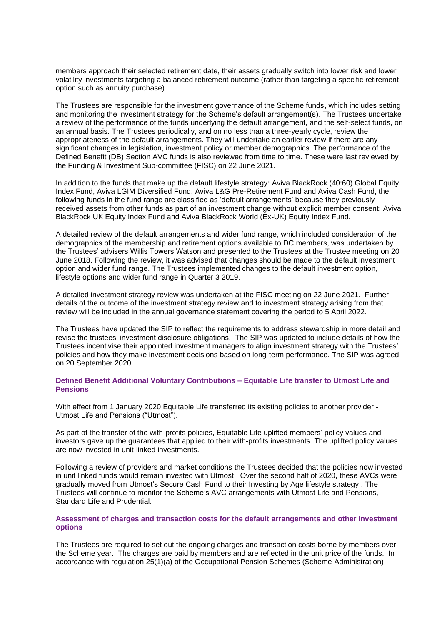members approach their selected retirement date, their assets gradually switch into lower risk and lower volatility investments targeting a balanced retirement outcome (rather than targeting a specific retirement option such as annuity purchase).

The Trustees are responsible for the investment governance of the Scheme funds, which includes setting and monitoring the investment strategy for the Scheme's default arrangement(s). The Trustees undertake a review of the performance of the funds underlying the default arrangement, and the self-select funds, on an annual basis. The Trustees periodically, and on no less than a three-yearly cycle, review the appropriateness of the default arrangements. They will undertake an earlier review if there are any significant changes in legislation, investment policy or member demographics. The performance of the Defined Benefit (DB) Section AVC funds is also reviewed from time to time. These were last reviewed by the Funding & Investment Sub-committee (FISC) on 22 June 2021.

In addition to the funds that make up the default lifestyle strategy: Aviva BlackRock (40:60) Global Equity Index Fund, Aviva LGIM Diversified Fund, Aviva L&G Pre-Retirement Fund and Aviva Cash Fund, the following funds in the fund range are classified as 'default arrangements' because they previously received assets from other funds as part of an investment change without explicit member consent: Aviva BlackRock UK Equity Index Fund and Aviva BlackRock World (Ex-UK) Equity Index Fund.

A detailed review of the default arrangements and wider fund range, which included consideration of the demographics of the membership and retirement options available to DC members, was undertaken by the Trustees' advisers Willis Towers Watson and presented to the Trustees at the Trustee meeting on 20 June 2018. Following the review, it was advised that changes should be made to the default investment option and wider fund range. The Trustees implemented changes to the default investment option, lifestyle options and wider fund range in Quarter 3 2019.

A detailed investment strategy review was undertaken at the FISC meeting on 22 June 2021. Further details of the outcome of the investment strategy review and to investment strategy arising from that review will be included in the annual governance statement covering the period to 5 April 2022.

The Trustees have updated the SIP to reflect the requirements to address stewardship in more detail and revise the trustees' investment disclosure obligations. The SIP was updated to include details of how the Trustees incentivise their appointed investment managers to align investment strategy with the Trustees' policies and how they make investment decisions based on long-term performance. The SIP was agreed on 20 September 2020.

### **Defined Benefit Additional Voluntary Contributions – Equitable Life transfer to Utmost Life and Pensions**

With effect from 1 January 2020 Equitable Life transferred its existing policies to another provider -Utmost Life and Pensions ("Utmost").

As part of the transfer of the with-profits policies, Equitable Life uplifted members' policy values and investors gave up the guarantees that applied to their with-profits investments. The uplifted policy values are now invested in unit-linked investments.

Following a review of providers and market conditions the Trustees decided that the policies now invested in unit linked funds would remain invested with Utmost. Over the second half of 2020, these AVCs were gradually moved from Utmost's Secure Cash Fund to their Investing by Age lifestyle strategy . The Trustees will continue to monitor the Scheme's AVC arrangements with Utmost Life and Pensions, Standard Life and Prudential.

## **Assessment of charges and transaction costs for the default arrangements and other investment options**

The Trustees are required to set out the ongoing charges and transaction costs borne by members over the Scheme year. The charges are paid by members and are reflected in the unit price of the funds. In accordance with regulation 25(1)(a) of the Occupational Pension Schemes (Scheme Administration)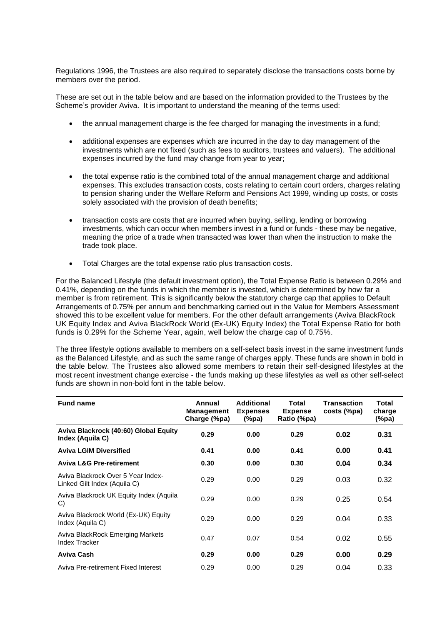Regulations 1996, the Trustees are also required to separately disclose the transactions costs borne by members over the period.

These are set out in the table below and are based on the information provided to the Trustees by the Scheme's provider Aviva. It is important to understand the meaning of the terms used:

- the annual management charge is the fee charged for managing the investments in a fund;
- additional expenses are expenses which are incurred in the day to day management of the investments which are not fixed (such as fees to auditors, trustees and valuers). The additional expenses incurred by the fund may change from year to year;
- the total expense ratio is the combined total of the annual management charge and additional expenses. This excludes transaction costs, costs relating to certain court orders, charges relating to pension sharing under the Welfare Reform and Pensions Act 1999, winding up costs, or costs solely associated with the provision of death benefits;
- transaction costs are costs that are incurred when buying, selling, lending or borrowing investments, which can occur when members invest in a fund or funds - these may be negative, meaning the price of a trade when transacted was lower than when the instruction to make the trade took place.
- Total Charges are the total expense ratio plus transaction costs.

For the Balanced Lifestyle (the default investment option), the Total Expense Ratio is between 0.29% and 0.41%, depending on the funds in which the member is invested, which is determined by how far a member is from retirement. This is significantly below the statutory charge cap that applies to Default Arrangements of 0.75% per annum and benchmarking carried out in the Value for Members Assessment showed this to be excellent value for members. For the other default arrangements (Aviva BlackRock UK Equity Index and Aviva BlackRock World (Ex-UK) Equity Index) the Total Expense Ratio for both funds is 0.29% for the Scheme Year, again, well below the charge cap of 0.75%.

The three lifestyle options available to members on a self-select basis invest in the same investment funds as the Balanced Lifestyle, and as such the same range of charges apply. These funds are shown in bold in the table below. The Trustees also allowed some members to retain their self-designed lifestyles at the most recent investment change exercise - the funds making up these lifestyles as well as other self-select funds are shown in non-bold font in the table below.

| <b>Fund name</b>                                                   | Annual<br><b>Management</b><br>Charge (%pa) | <b>Additional</b><br><b>Expenses</b><br>(%pa) | Total<br><b>Expense</b><br>Ratio (%pa) | <b>Transaction</b><br>costs (%pa) | <b>Total</b><br>charge<br>(%pa) |
|--------------------------------------------------------------------|---------------------------------------------|-----------------------------------------------|----------------------------------------|-----------------------------------|---------------------------------|
| Aviva Blackrock (40:60) Global Equity<br>Index (Aquila C)          | 0.29                                        | 0.00                                          | 0.29                                   | 0.02                              | 0.31                            |
| <b>Aviva LGIM Diversified</b>                                      | 0.41                                        | 0.00                                          | 0.41                                   | 0.00                              | 0.41                            |
| <b>Aviva L&amp;G Pre-retirement</b>                                | 0.30                                        | 0.00                                          | 0.30                                   | 0.04                              | 0.34                            |
| Aviva Blackrock Over 5 Year Index-<br>Linked Gilt Index (Aquila C) | 0.29                                        | 0.00                                          | 0.29                                   | 0.03                              | 0.32                            |
| Aviva Blackrock UK Equity Index (Aquila<br>C)                      | 0.29                                        | 0.00                                          | 0.29                                   | 0.25                              | 0.54                            |
| Aviva Blackrock World (Ex-UK) Equity<br>Index (Aquila C)           | 0.29                                        | 0.00                                          | 0.29                                   | 0.04                              | 0.33                            |
| Aviva BlackRock Emerging Markets<br><b>Index Tracker</b>           | 0.47                                        | 0.07                                          | 0.54                                   | 0.02                              | 0.55                            |
| Aviva Cash                                                         | 0.29                                        | 0.00                                          | 0.29                                   | 0.00                              | 0.29                            |
| Aviva Pre-retirement Fixed Interest                                | 0.29                                        | 0.00                                          | 0.29                                   | 0.04                              | 0.33                            |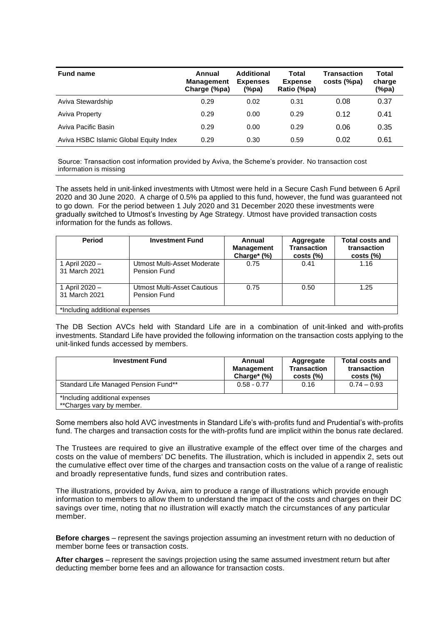| <b>Fund name</b>                       | Annual<br><b>Management</b><br>Charge (%pa) | Additional<br><b>Expenses</b><br>(%pa) | Total<br><b>Expense</b><br>Ratio (%pa) | Transaction<br>costs (%pa) | Total<br>charge<br>(%pa) |
|----------------------------------------|---------------------------------------------|----------------------------------------|----------------------------------------|----------------------------|--------------------------|
| Aviva Stewardship                      | 0.29                                        | 0.02                                   | 0.31                                   | 0.08                       | 0.37                     |
| <b>Aviva Property</b>                  | 0.29                                        | 0.00                                   | 0.29                                   | 0.12                       | 0.41                     |
| Aviva Pacific Basin                    | 0.29                                        | 0.00                                   | 0.29                                   | 0.06                       | 0.35                     |
| Aviva HSBC Islamic Global Equity Index | 0.29                                        | 0.30                                   | 0.59                                   | 0.02                       | 0.61                     |

Source: Transaction cost information provided by Aviva, the Scheme's provider. No transaction cost information is missing

The assets held in unit-linked investments with Utmost were held in a Secure Cash Fund between 6 April 2020 and 30 June 2020. A charge of 0.5% pa applied to this fund, however, the fund was guaranteed not to go down. For the period between 1 July 2020 and 31 December 2020 these investments were gradually switched to Utmost's Investing by Age Strategy. Utmost have provided transaction costs information for the funds as follows.

| <b>Period</b>                   | <b>Investment Fund</b>                             | Annual<br><b>Management</b><br>Charge* (%) | Aggregate<br><b>Transaction</b><br>$costs$ $%$ | <b>Total costs and</b><br>transaction<br>$costs$ $%$ |
|---------------------------------|----------------------------------------------------|--------------------------------------------|------------------------------------------------|------------------------------------------------------|
| 1 April 2020 -<br>31 March 2021 | Utmost Multi-Asset Moderate<br><b>Pension Fund</b> | 0.75                                       | 0.41                                           | 1.16                                                 |
| 1 April 2020 -<br>31 March 2021 | Utmost Multi-Asset Cautious<br><b>Pension Fund</b> | 0.75                                       | 0.50                                           | 1.25                                                 |
| *Including additional expenses  |                                                    |                                            |                                                |                                                      |

The DB Section AVCs held with Standard Life are in a combination of unit-linked and with-profits investments. Standard Life have provided the following information on the transaction costs applying to the unit-linked funds accessed by members.

| <b>Investment Fund</b>                                      | Annual<br><b>Management</b><br>Charge* $(\%)$ | Aggregate<br><b>Transaction</b><br>$costs$ $%$ | <b>Total costs and</b><br>transaction<br>$costs$ $%$ |
|-------------------------------------------------------------|-----------------------------------------------|------------------------------------------------|------------------------------------------------------|
| Standard Life Managed Pension Fund**                        | $0.58 - 0.77$                                 | 0.16                                           | $0.74 - 0.93$                                        |
| *Including additional expenses<br>**Charges vary by member. |                                               |                                                |                                                      |

Some members also hold AVC investments in Standard Life's with-profits fund and Prudential's with-profits fund. The charges and transaction costs for the with-profits fund are implicit within the bonus rate declared.

The Trustees are required to give an illustrative example of the effect over time of the charges and costs on the value of members' DC benefits. The illustration, which is included in appendix 2, sets out the cumulative effect over time of the charges and transaction costs on the value of a range of realistic and broadly representative funds, fund sizes and contribution rates.

The illustrations, provided by Aviva, aim to produce a range of illustrations which provide enough information to members to allow them to understand the impact of the costs and charges on their DC savings over time, noting that no illustration will exactly match the circumstances of any particular member.

**Before charges** – represent the savings projection assuming an investment return with no deduction of member borne fees or transaction costs.

**After charges** – represent the savings projection using the same assumed investment return but after deducting member borne fees and an allowance for transaction costs.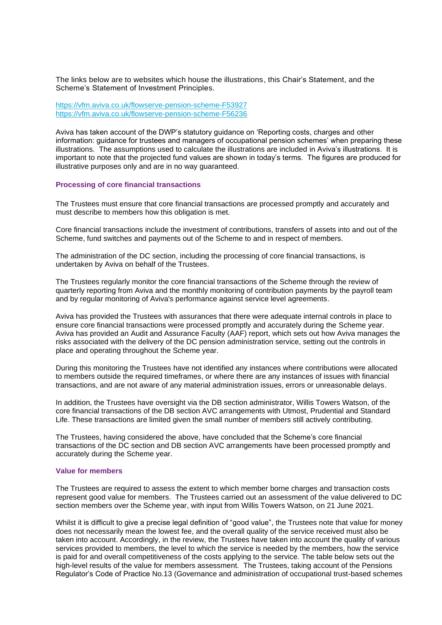The links below are to websites which house the illustrations, this Chair's Statement, and the Scheme's Statement of Investment Principles.

[https://vfm.aviva.co.uk/flowserve-pension-scheme-F53927](https://clicktime.symantec.com/3UUFbFEY16K6GJLyXk8HZsd6H2?u=https%3A%2F%2Fna01.safelinks.protection.outlook.com%2F%3Furl%3Dhttps%253A%252F%252Fclicktime.symantec.com%252F33pUzKmzcQEC6FywMRHgv6i6H2%253Fu%253Dhttps%25253A%25252F%25252Fna01.safelinks.protection.outlook.com%25252F%25253Furl%25253Dhttps%2525253A%2525252F%2525252Fclicktime.symantec.com%2525252F3VDMCaMt96VrTgPaSjuhPZ86H2%2525253Fu%2525253Dhttps%252525253A%252525252F%252525252Fna01.safelinks.protection.outlook.com%252525252F%252525253Furl%252525253Dhttps%25252525253A%25252525252F%25252525252Fvfm.aviva.co.uk%25252525252Fflowserve-pension-scheme-F53927%2525252526data%252525253D02%25252525257C01%25252525257C133640%252525252540towerswatson.com%25252525257C5de80733781e452833a708d68a991579%25252525257C76e3921f489b4b7e95479ea297add9b5%25252525257C0%25252525257C0%25252525257C636848787433247215%2525252526sdata%252525253D8V%25252525252FAx8sAuUIkrvUwu8z1EraZ2ROUIvoQblCQlpJTiQI%25252525253D%2525252526reserved%252525253D0%252526data%25253D02%2525257C01%2525257C133640%25252540towerswatson.com%2525257Cbc51a1c8c64a4edbccd808d68c5bf981%2525257C76e3921f489b4b7e95479ea297add9b5%2525257C0%2525257C0%2525257C636850723997213674%252526sdata%25253DRNvDChyghmLX%2525252BYecLvAZc6IGi9QbdMMziu27ZoJSf6Y%2525253D%252526reserved%25253D0%26data%3D02%257C01%257C133640%2540towerswatson.com%257C1d108f15295f467b2a9908d6935c774a%257C76e3921f489b4b7e95479ea297add9b5%257C0%257C0%257C636858422689543986%26sdata%3Dq35GsUaTKAWxsTmwFtX3gzc%252FCzC2wRifNXx2ismPEno%253D%26reserved%3D0) [https://vfm.aviva.co.uk/flowserve-pension-scheme-F56236](https://clicktime.symantec.com/3DEkqfWtd3Q4wnz2m4XVZJc6H2?u=https%3A%2F%2Fna01.safelinks.protection.outlook.com%2F%3Furl%3Dhttps%253A%252F%252Fclicktime.symantec.com%252F36DdCYjgbJvDRTryivvwbNL6H2%253Fu%253Dhttps%25253A%25252F%25252Fna01.safelinks.protection.outlook.com%25252F%25253Furl%25253Dhttps%2525253A%2525252F%2525252Fclicktime.symantec.com%2525252F351rmUkRbS4sW82ASbT2xWT6H2%2525253Fu%2525253Dhttps%252525253A%252525252F%252525252Fna01.safelinks.protection.outlook.com%252525252F%252525253Furl%252525253Dhttps%25252525253A%25252525252F%25252525252Fvfm.aviva.co.uk%25252525252Fflowserve-pension-scheme-F56236%2525252526data%252525253D02%25252525257C01%25252525257C133640%252525252540towerswatson.com%25252525257C5de80733781e452833a708d68a991579%25252525257C76e3921f489b4b7e95479ea297add9b5%25252525257C0%25252525257C0%25252525257C636848787433257225%2525252526sdata%252525253Dmb4zrXft9%25252525252B68zr2AxWmL4RErvpO0Zk%25252525252BPUQ8rxNi9ixw%25252525253D%2525252526reserved%252525253D0%252526data%25253D02%2525257C01%2525257C133640%25252540towerswatson.com%2525257Cbc51a1c8c64a4edbccd808d68c5bf981%2525257C76e3921f489b4b7e95479ea297add9b5%2525257C0%2525257C0%2525257C636850723997213674%252526sdata%25253DdgsBgxBOY0EKzsRvQ0bgWA7hNpfpiEIJeA4Z8rf7xD8%2525253D%252526reserved%25253D0%26data%3D02%257C01%257C133640%2540towerswatson.com%257C1d108f15295f467b2a9908d6935c774a%257C76e3921f489b4b7e95479ea297add9b5%257C0%257C0%257C636858422689553990%26sdata%3D3eCGdvE960i3aCJ5rkGr7Rgd%252Fj8hLiM6DW%252FQzPpVTKQ%253D%26reserved%3D0)

Aviva has taken account of the DWP's statutory guidance on 'Reporting costs, charges and other information: guidance for trustees and managers of occupational pension schemes' when preparing these illustrations. The assumptions used to calculate the illustrations are included in Aviva's illustrations. It is important to note that the projected fund values are shown in today's terms. The figures are produced for illustrative purposes only and are in no way guaranteed.

#### **Processing of core financial transactions**

The Trustees must ensure that core financial transactions are processed promptly and accurately and must describe to members how this obligation is met.

Core financial transactions include the investment of contributions, transfers of assets into and out of the Scheme, fund switches and payments out of the Scheme to and in respect of members.

The administration of the DC section, including the processing of core financial transactions, is undertaken by Aviva on behalf of the Trustees.

The Trustees regularly monitor the core financial transactions of the Scheme through the review of quarterly reporting from Aviva and the monthly monitoring of contribution payments by the payroll team and by regular monitoring of Aviva's performance against service level agreements.

Aviva has provided the Trustees with assurances that there were adequate internal controls in place to ensure core financial transactions were processed promptly and accurately during the Scheme year. Aviva has provided an Audit and Assurance Faculty (AAF) report, which sets out how Aviva manages the risks associated with the delivery of the DC pension administration service, setting out the controls in place and operating throughout the Scheme year.

During this monitoring the Trustees have not identified any instances where contributions were allocated to members outside the required timeframes, or where there are any instances of issues with financial transactions, and are not aware of any material administration issues, errors or unreasonable delays.

In addition, the Trustees have oversight via the DB section administrator, Willis Towers Watson, of the core financial transactions of the DB section AVC arrangements with Utmost, Prudential and Standard Life. These transactions are limited given the small number of members still actively contributing.

The Trustees, having considered the above, have concluded that the Scheme's core financial transactions of the DC section and DB section AVC arrangements have been processed promptly and accurately during the Scheme year.

#### **Value for members**

The Trustees are required to assess the extent to which member borne charges and transaction costs represent good value for members. The Trustees carried out an assessment of the value delivered to DC section members over the Scheme year, with input from Willis Towers Watson, on 21 June 2021.

Whilst it is difficult to give a precise legal definition of "good value", the Trustees note that value for money does not necessarily mean the lowest fee, and the overall quality of the service received must also be taken into account. Accordingly, in the review, the Trustees have taken into account the quality of various services provided to members, the level to which the service is needed by the members, how the service is paid for and overall competitiveness of the costs applying to the service. The table below sets out the high-level results of the value for members assessment. The Trustees, taking account of the Pensions Regulator's Code of Practice No.13 (Governance and administration of occupational trust-based schemes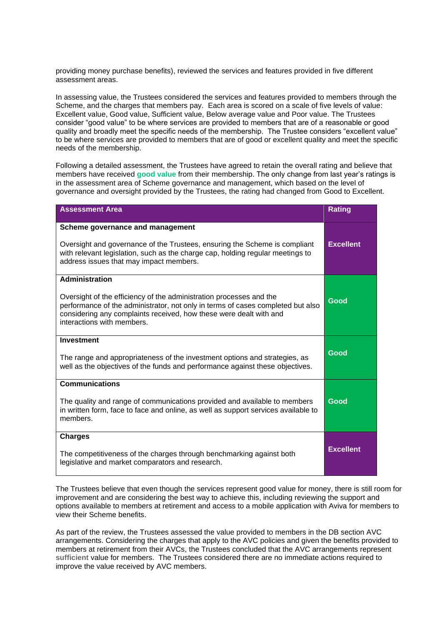providing money purchase benefits), reviewed the services and features provided in five different assessment areas.

In assessing value, the Trustees considered the services and features provided to members through the Scheme, and the charges that members pay. Each area is scored on a scale of five levels of value: Excellent value, Good value, Sufficient value, Below average value and Poor value. The Trustees consider "good value" to be where services are provided to members that are of a reasonable or good quality and broadly meet the specific needs of the membership. The Trustee considers "excellent value" to be where services are provided to members that are of good or excellent quality and meet the specific needs of the membership.

Following a detailed assessment, the Trustees have agreed to retain the overall rating and believe that members have received **good value** from their membership. The only change from last year's ratings is in the assessment area of Scheme governance and management, which based on the level of governance and oversight provided by the Trustees, the rating had changed from Good to Excellent.

| <b>Assessment Area</b>                                                                                                                                                                                                                                                              | <b>Rating</b>    |
|-------------------------------------------------------------------------------------------------------------------------------------------------------------------------------------------------------------------------------------------------------------------------------------|------------------|
| Scheme governance and management<br>Oversight and governance of the Trustees, ensuring the Scheme is compliant<br>with relevant legislation, such as the charge cap, holding regular meetings to<br>address issues that may impact members.                                         | <b>Excellent</b> |
| <b>Administration</b><br>Oversight of the efficiency of the administration processes and the<br>performance of the administrator, not only in terms of cases completed but also<br>considering any complaints received, how these were dealt with and<br>interactions with members. | Good             |
| <b>Investment</b><br>The range and appropriateness of the investment options and strategies, as<br>well as the objectives of the funds and performance against these objectives.                                                                                                    | Good             |
| <b>Communications</b><br>The quality and range of communications provided and available to members<br>in written form, face to face and online, as well as support services available to<br>members.                                                                                | Good             |
| <b>Charges</b><br>The competitiveness of the charges through benchmarking against both<br>legislative and market comparators and research.                                                                                                                                          | <b>Excellent</b> |

The Trustees believe that even though the services represent good value for money, there is still room for improvement and are considering the best way to achieve this, including reviewing the support and options available to members at retirement and access to a mobile application with Aviva for members to view their Scheme benefits.

As part of the review, the Trustees assessed the value provided to members in the DB section AVC arrangements. Considering the charges that apply to the AVC policies and given the benefits provided to members at retirement from their AVCs, the Trustees concluded that the AVC arrangements represent **sufficient** value for members. The Trustees considered there are no immediate actions required to improve the value received by AVC members.